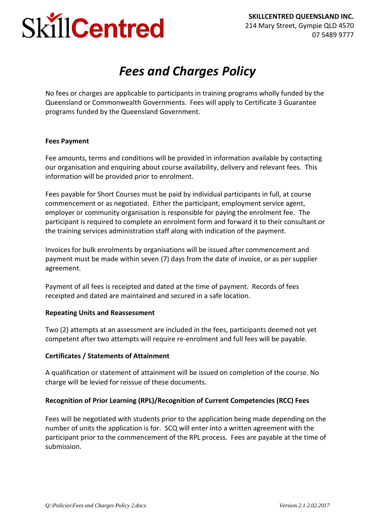# SkillCentred

## *Fees and Charges Policy*

No fees or charges are applicable to participants in training programs wholly funded by the Queensland or Commonwealth Governments. Fees will apply to Certificate 3 Guarantee programs funded by the Queensland Government.

#### **Fees Payment**

Fee amounts, terms and conditions will be provided in information available by contacting our organisation and enquiring about course availability, delivery and relevant fees. This information will be provided prior to enrolment.

Fees payable for Short Courses must be paid by individual participants in full, at course commencement or as negotiated. Either the participant, employment service agent, employer or community organisation is responsible for paying the enrolment fee. The participant is required to complete an enrolment form and forward it to their consultant or the training services administration staff along with indication of the payment.

Invoices for bulk enrolments by organisations will be issued after commencement and payment must be made within seven (7) days from the date of invoice, or as per supplier agreement.

Payment of all fees is receipted and dated at the time of payment. Records of fees receipted and dated are maintained and secured in a safe location.

#### **Repeating Units and Reassessment**

Two (2) attempts at an assessment are included in the fees, participants deemed not yet competent after two attempts will require re-enrolment and full fees will be payable.

#### **Certificates / Statements of Attainment**

A qualification or statement of attainment will be issued on completion of the course. No charge will be levied for reissue of these documents.

#### **Recognition of Prior Learning (RPL)/Recognition of Current Competencies (RCC) Fees**

Fees will be negotiated with students prior to the application being made depending on the number of units the application is for. SCQ will enter into a written agreement with the participant prior to the commencement of the RPL process. Fees are payable at the time of submission.